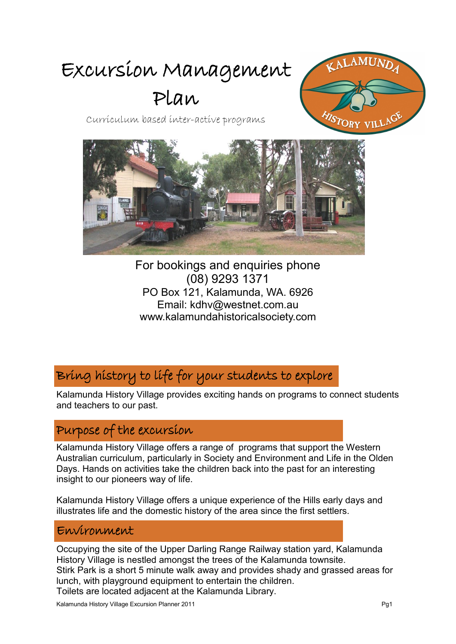# Excursion Management

# Plan



Curriculum based inter-active programs



For bookings and enquiries phone (08) 9293 1371 PO Box 121, Kalamunda, WA. 6926 Email: kdhv@westnet.com.au www.kalamundahistoricalsociety.com

# Bring history to life for your students to explore

Kalamunda History Village provides exciting hands on programs to connect students and teachers to our past.

#### Purpose of the excursion

Kalamunda History Village offers a range of programs that support the Western Australian curriculum, particularly in Society and Environment and Life in the Olden Days. Hands on activities take the children back into the past for an interesting insight to our pioneers way of life.

Kalamunda History Village offers a unique experience of the Hills early days and illustrates life and the domestic history of the area since the first settlers.

#### Environment

Occupying the site of the Upper Darling Range Railway station yard, Kalamunda History Village is nestled amongst the trees of the Kalamunda townsite. Stirk Park is a short 5 minute walk away and provides shady and grassed areas for lunch, with playground equipment to entertain the children.

Toilets are located adjacent at the Kalamunda Library.

Kalamunda History Village Excursion Planner 2011 Pg1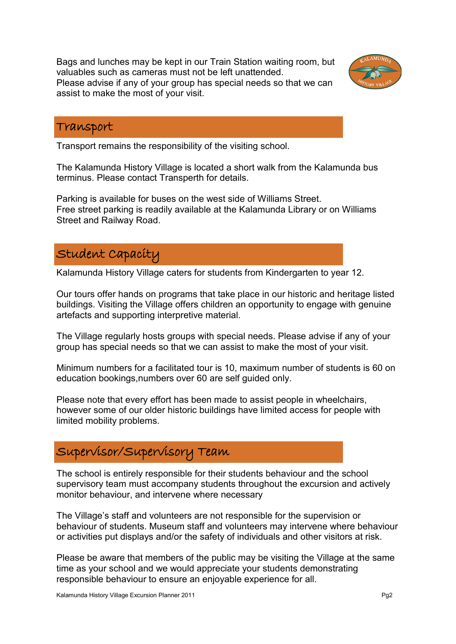Bags and lunches may be kept in our Train Station waiting room, but valuables such as cameras must not be left unattended. Please advise if any of your group has special needs so that we can assist to make the most of your visit.



#### Transport

Transport remains the responsibility of the visiting school.

The Kalamunda History Village is located a short walk from the Kalamunda bus terminus. Please contact Transperth for details.

Parking is available for buses on the west side of Williams Street. Free street parking is readily available at the Kalamunda Library or on Williams Street and Railway Road.

#### Student Capacity

Kalamunda History Village caters for students from Kindergarten to year 12.

Our tours offer hands on programs that take place in our historic and heritage listed buildings. Visiting the Village offers children an opportunity to engage with genuine artefacts and supporting interpretive material.

The Village regularly hosts groups with special needs. Please advise if any of your group has special needs so that we can assist to make the most of your visit.

Minimum numbers for a facilitated tour is 10, maximum number of students is 60 on education bookings,numbers over 60 are self guided only.

Please note that every effort has been made to assist people in wheelchairs, however some of our older historic buildings have limited access for people with limited mobility problems.

# Supervisor/Supervisory Team

The school is entirely responsible for their students behaviour and the school supervisory team must accompany students throughout the excursion and actively monitor behaviour, and intervene where necessary

The Village's staff and volunteers are not responsible for the supervision or behaviour of students. Museum staff and volunteers may intervene where behaviour or activities put displays and/or the safety of individuals and other visitors at risk.

Please be aware that members of the public may be visiting the Village at the same time as your school and we would appreciate your students demonstrating responsible behaviour to ensure an enjoyable experience for all.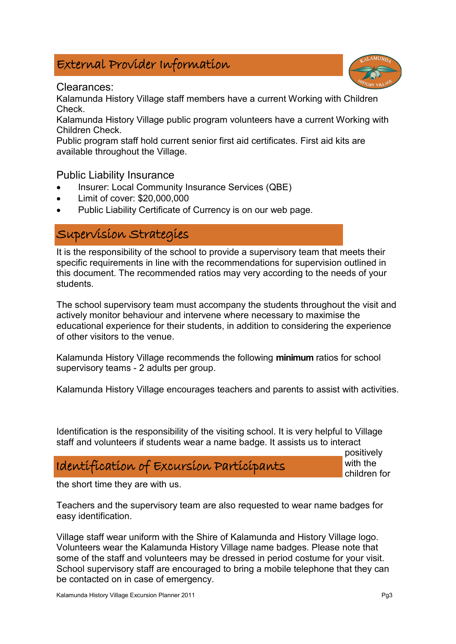#### External Provider Information



Kalamunda History Village staff members have a current Working with Children Check.

Kalamunda History Village public program volunteers have a current Working with Children Check.

Public program staff hold current senior first aid certificates. First aid kits are available throughout the Village.

#### Public Liability Insurance

- Insurer: Local Community Insurance Services (QBE)
- Limit of cover: \$20,000,000
- Public Liability Certificate of Currency is on our web page.

#### Supervision Strategies

It is the responsibility of the school to provide a supervisory team that meets their specific requirements in line with the recommendations for supervision outlined in this document. The recommended ratios may very according to the needs of your students.

The school supervisory team must accompany the students throughout the visit and actively monitor behaviour and intervene where necessary to maximise the educational experience for their students, in addition to considering the experience of other visitors to the venue.

Kalamunda History Village recommends the following **minimum** ratios for school supervisory teams - 2 adults per group.

Kalamunda History Village encourages teachers and parents to assist with activities.

Identification is the responsibility of the visiting school. It is very helpful to Village staff and volunteers if students wear a name badge. It assists us to interact

#### Identification of Excursion Participants

positively with the children for

the short time they are with us.

Teachers and the supervisory team are also requested to wear name badges for easy identification.

Village staff wear uniform with the Shire of Kalamunda and History Village logo. Volunteers wear the Kalamunda History Village name badges. Please note that some of the staff and volunteers may be dressed in period costume for your visit. School supervisory staff are encouraged to bring a mobile telephone that they can be contacted on in case of emergency.

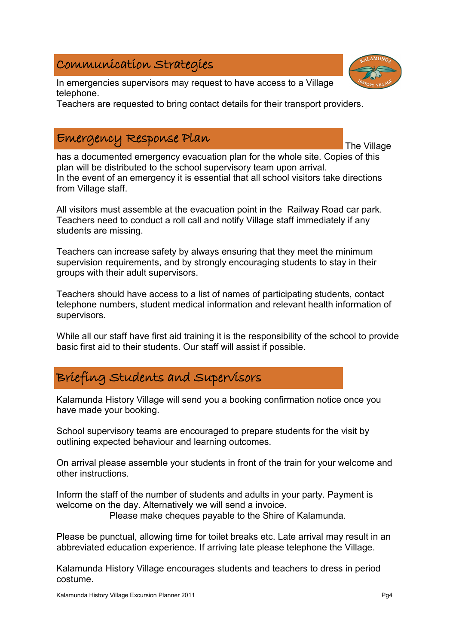#### Communication Strategies

In emergencies supervisors may request to have access to a Village telephone.

Teachers are requested to bring contact details for their transport providers.

#### Emergency Response Plan

has a documented emergency evacuation plan for the whole site. Copies of this plan will be distributed to the school supervisory team upon arrival. In the event of an emergency it is essential that all school visitors take directions from Village staff.

All visitors must assemble at the evacuation point in the Railway Road car park. Teachers need to conduct a roll call and notify Village staff immediately if any students are missing.

Teachers can increase safety by always ensuring that they meet the minimum supervision requirements, and by strongly encouraging students to stay in their groups with their adult supervisors.

Teachers should have access to a list of names of participating students, contact telephone numbers, student medical information and relevant health information of supervisors.

While all our staff have first aid training it is the responsibility of the school to provide basic first aid to their students. Our staff will assist if possible.

### Briefing Students and Supervisors

Kalamunda History Village will send you a booking confirmation notice once you have made your booking.

School supervisory teams are encouraged to prepare students for the visit by outlining expected behaviour and learning outcomes.

On arrival please assemble your students in front of the train for your welcome and other instructions.

Inform the staff of the number of students and adults in your party. Payment is welcome on the day. Alternatively we will send a invoice.

Please make cheques payable to the Shire of Kalamunda.

Please be punctual, allowing time for toilet breaks etc. Late arrival may result in an abbreviated education experience. If arriving late please telephone the Village.

Kalamunda History Village encourages students and teachers to dress in period costume.



The Village